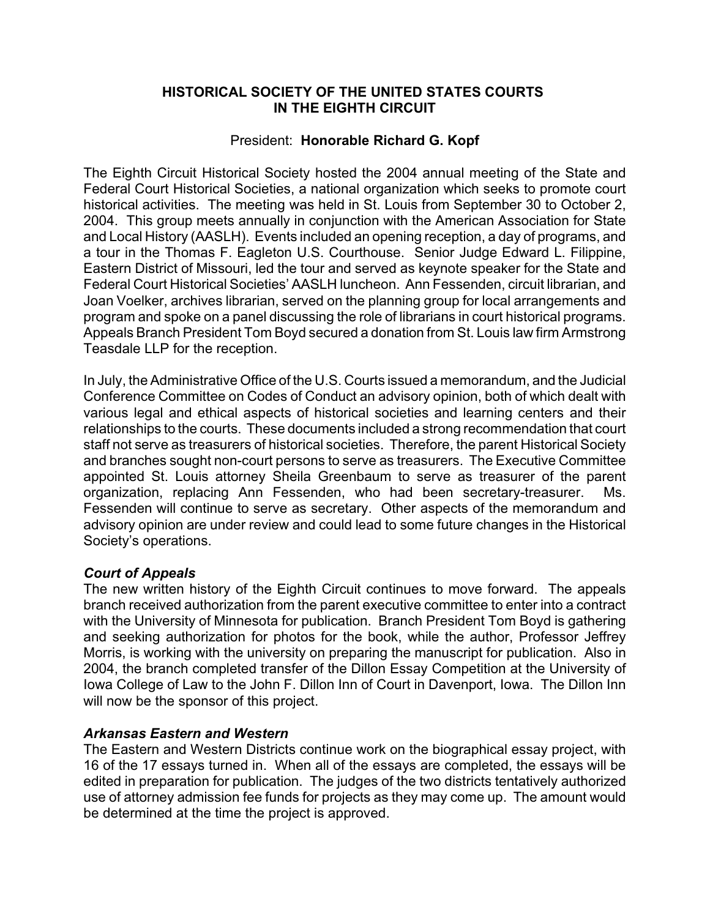## **HISTORICAL SOCIETY OF THE UNITED STATES COURTS IN THE EIGHTH CIRCUIT**

## President: **Honorable Richard G. Kopf**

The Eighth Circuit Historical Society hosted the 2004 annual meeting of the State and Federal Court Historical Societies, a national organization which seeks to promote court historical activities. The meeting was held in St. Louis from September 30 to October 2, 2004. This group meets annually in conjunction with the American Association for State and Local History (AASLH). Events included an opening reception, a day of programs, and a tour in the Thomas F. Eagleton U.S. Courthouse. Senior Judge Edward L. Filippine, Eastern District of Missouri, led the tour and served as keynote speaker for the State and Federal Court Historical Societies' AASLH luncheon. Ann Fessenden, circuit librarian, and Joan Voelker, archives librarian, served on the planning group for local arrangements and program and spoke on a panel discussing the role of librarians in court historical programs. Appeals Branch President Tom Boyd secured a donation from St. Louis law firm Armstrong Teasdale LLP for the reception.

In July, the Administrative Office of the U.S. Courts issued a memorandum, and the Judicial Conference Committee on Codes of Conduct an advisory opinion, both of which dealt with various legal and ethical aspects of historical societies and learning centers and their relationships to the courts. These documents included a strong recommendation that court staff not serve as treasurers of historical societies. Therefore, the parent Historical Society and branches sought non-court persons to serve as treasurers. The Executive Committee appointed St. Louis attorney Sheila Greenbaum to serve as treasurer of the parent organization, replacing Ann Fessenden, who had been secretary-treasurer. Ms. Fessenden will continue to serve as secretary. Other aspects of the memorandum and advisory opinion are under review and could lead to some future changes in the Historical Society's operations.

## *Court of Appeals*

The new written history of the Eighth Circuit continues to move forward. The appeals branch received authorization from the parent executive committee to enter into a contract with the University of Minnesota for publication. Branch President Tom Boyd is gathering and seeking authorization for photos for the book, while the author, Professor Jeffrey Morris, is working with the university on preparing the manuscript for publication. Also in 2004, the branch completed transfer of the Dillon Essay Competition at the University of Iowa College of Law to the John F. Dillon Inn of Court in Davenport, Iowa. The Dillon Inn will now be the sponsor of this project.

## *Arkansas Eastern and Western*

The Eastern and Western Districts continue work on the biographical essay project, with 16 of the 17 essays turned in. When all of the essays are completed, the essays will be edited in preparation for publication. The judges of the two districts tentatively authorized use of attorney admission fee funds for projects as they may come up. The amount would be determined at the time the project is approved.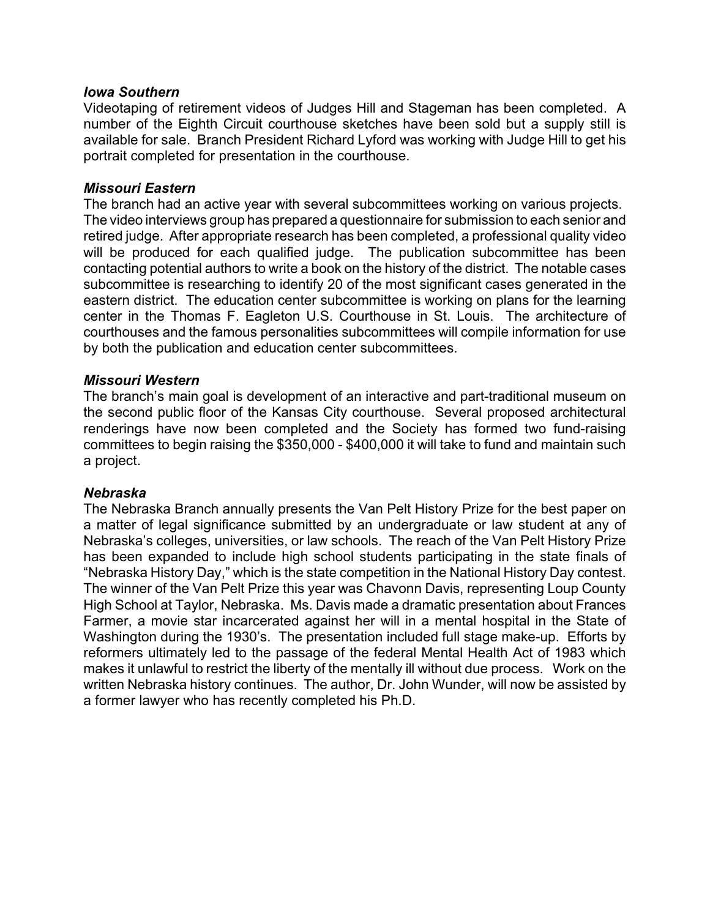### *Iowa Southern*

Videotaping of retirement videos of Judges Hill and Stageman has been completed. A number of the Eighth Circuit courthouse sketches have been sold but a supply still is available for sale. Branch President Richard Lyford was working with Judge Hill to get his portrait completed for presentation in the courthouse.

### *Missouri Eastern*

The branch had an active year with several subcommittees working on various projects. The video interviews group has prepared a questionnaire for submission to each senior and retired judge. After appropriate research has been completed, a professional quality video will be produced for each qualified judge. The publication subcommittee has been contacting potential authors to write a book on the history of the district. The notable cases subcommittee is researching to identify 20 of the most significant cases generated in the eastern district. The education center subcommittee is working on plans for the learning center in the Thomas F. Eagleton U.S. Courthouse in St. Louis. The architecture of courthouses and the famous personalities subcommittees will compile information for use by both the publication and education center subcommittees.

### *Missouri Western*

The branch's main goal is development of an interactive and part-traditional museum on the second public floor of the Kansas City courthouse. Several proposed architectural renderings have now been completed and the Society has formed two fund-raising committees to begin raising the \$350,000 - \$400,000 it will take to fund and maintain such a project.

### *Nebraska*

The Nebraska Branch annually presents the Van Pelt History Prize for the best paper on a matter of legal significance submitted by an undergraduate or law student at any of Nebraska's colleges, universities, or law schools. The reach of the Van Pelt History Prize has been expanded to include high school students participating in the state finals of "Nebraska History Day," which is the state competition in the National History Day contest. The winner of the Van Pelt Prize this year was Chavonn Davis, representing Loup County High School at Taylor, Nebraska. Ms. Davis made a dramatic presentation about Frances Farmer, a movie star incarcerated against her will in a mental hospital in the State of Washington during the 1930's. The presentation included full stage make-up. Efforts by reformers ultimately led to the passage of the federal Mental Health Act of 1983 which makes it unlawful to restrict the liberty of the mentally ill without due process. Work on the written Nebraska history continues. The author, Dr. John Wunder, will now be assisted by a former lawyer who has recently completed his Ph.D.